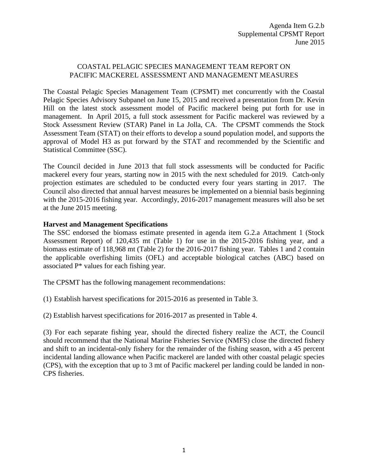## COASTAL PELAGIC SPECIES MANAGEMENT TEAM REPORT ON PACIFIC MACKEREL ASSESSMENT AND MANAGEMENT MEASURES

The Coastal Pelagic Species Management Team (CPSMT) met concurrently with the Coastal Pelagic Species Advisory Subpanel on June 15, 2015 and received a presentation from Dr. Kevin Hill on the latest stock assessment model of Pacific mackerel being put forth for use in management. In April 2015, a full stock assessment for Pacific mackerel was reviewed by a Stock Assessment Review (STAR) Panel in La Jolla, CA. The CPSMT commends the Stock Assessment Team (STAT) on their efforts to develop a sound population model, and supports the approval of Model H3 as put forward by the STAT and recommended by the Scientific and Statistical Committee (SSC).

The Council decided in June 2013 that full stock assessments will be conducted for Pacific mackerel every four years, starting now in 2015 with the next scheduled for 2019. Catch-only projection estimates are scheduled to be conducted every four years starting in 2017. The Council also directed that annual harvest measures be implemented on a biennial basis beginning with the 2015-2016 fishing year. Accordingly, 2016-2017 management measures will also be set at the June 2015 meeting.

## **Harvest and Management Specifications**

The SSC endorsed the biomass estimate presented in agenda item G.2.a Attachment 1 (Stock Assessment Report) of 120,435 mt (Table 1) for use in the 2015-2016 fishing year, and a biomass estimate of 118,968 mt (Table 2) for the 2016-2017 fishing year. Tables 1 and 2 contain the applicable overfishing limits (OFL) and acceptable biological catches (ABC) based on associated P\* values for each fishing year.

The CPSMT has the following management recommendations:

(1) Establish harvest specifications for 2015-2016 as presented in Table 3.

(2) Establish harvest specifications for 2016-2017 as presented in Table 4.

(3) For each separate fishing year, should the directed fishery realize the ACT, the Council should recommend that the National Marine Fisheries Service (NMFS) close the directed fishery and shift to an incidental-only fishery for the remainder of the fishing season, with a 45 percent incidental landing allowance when Pacific mackerel are landed with other coastal pelagic species (CPS), with the exception that up to 3 mt of Pacific mackerel per landing could be landed in non-CPS fisheries.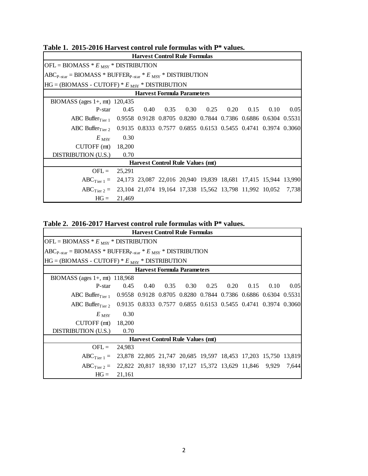| <b>Harvest Control Rule Formulas</b>                                                        |                |  |  |                                                         |  |  |  |  |      |
|---------------------------------------------------------------------------------------------|----------------|--|--|---------------------------------------------------------|--|--|--|--|------|
| $OFL = B IOMASS * EMSY * DISTRIBUTION$                                                      |                |  |  |                                                         |  |  |  |  |      |
| $[ABC_{P-star} = B IOMASS * BUFFER_{P-star} * E_{MSY} * DISTR IBUTION$                      |                |  |  |                                                         |  |  |  |  |      |
| $HG = (B IOMASS - CUTOFF) * EMSY * DISTRIBUTION$                                            |                |  |  |                                                         |  |  |  |  |      |
| <b>Harvest Formula Parameters</b>                                                           |                |  |  |                                                         |  |  |  |  |      |
| BIOMASS (ages $1+$ , mt) 120,435                                                            |                |  |  |                                                         |  |  |  |  |      |
| P-star                                                                                      |                |  |  | $0.45$ $0.40$ $0.35$ $0.30$ $0.25$ $0.20$ $0.15$ $0.10$ |  |  |  |  | 0.05 |
| ABC Buffer <sub>Tier 1</sub> 0.9558 0.9128 0.8705 0.8280 0.7844 0.7386 0.6886 0.6304 0.5531 |                |  |  |                                                         |  |  |  |  |      |
| ABC Buffer <sub>Tier 2</sub> 0.9135 0.8333 0.7577 0.6855 0.6153 0.5455 0.4741 0.3974 0.3060 |                |  |  |                                                         |  |  |  |  |      |
| $E_{\rm\, MSY}$                                                                             | 0.30           |  |  |                                                         |  |  |  |  |      |
| CUTOFF $(mt)$ 18,200                                                                        |                |  |  |                                                         |  |  |  |  |      |
| DISTRIBUTION (U.S.)                                                                         | 0.70           |  |  |                                                         |  |  |  |  |      |
| <b>Harvest Control Rule Values (mt)</b>                                                     |                |  |  |                                                         |  |  |  |  |      |
|                                                                                             | $OFL = 25,291$ |  |  |                                                         |  |  |  |  |      |
| $ABC_{Tier1} = 24,173$ 23,087 22,016 20,940 19,839 18,681 17,415 15,944 13,990              |                |  |  |                                                         |  |  |  |  |      |
| $ABC_{Tier,2} = 23,104,21,074,19,164,17,338,15,562,13,798,11,992,10,052,7,738$              |                |  |  |                                                         |  |  |  |  |      |
| $HG =$                                                                                      | 21,469         |  |  |                                                         |  |  |  |  |      |

**Table 1. 2015-2016 Harvest control rule formulas with P\* values.**

| Table 2. 2016-2017 Harvest control rule formulas with P* values. |  |  |  |  |
|------------------------------------------------------------------|--|--|--|--|
|                                                                  |  |  |  |  |

| <b>Harvest Control Rule Formulas</b>                                                        |        |  |  |                                                                |  |  |  |      |       |
|---------------------------------------------------------------------------------------------|--------|--|--|----------------------------------------------------------------|--|--|--|------|-------|
| $[OFL = BIOMASS * EMSY * DISTRIBUTION$                                                      |        |  |  |                                                                |  |  |  |      |       |
| $ ABC_{P-star} = B IOMASS * BUFFER_{P-star} * E_{MSY} * DISTR IBUTION$                      |        |  |  |                                                                |  |  |  |      |       |
| $HG = (B IOMASS - CUTOFF) * EMSY * DISTRIBUTION$                                            |        |  |  |                                                                |  |  |  |      |       |
| <b>Harvest Formula Parameters</b>                                                           |        |  |  |                                                                |  |  |  |      |       |
| BIOMASS (ages $1+$ , mt) 118,968                                                            |        |  |  |                                                                |  |  |  |      |       |
| P-star                                                                                      |        |  |  | $0.45$ $0.40$ $0.35$ $0.30$ $0.25$ $0.20$ $0.15$               |  |  |  | 0.10 | 0.05  |
| ABC Buffer <sub>Tier 1</sub> 0.9558 0.9128 0.8705 0.8280 0.7844 0.7386 0.6886 0.6304 0.5531 |        |  |  |                                                                |  |  |  |      |       |
| ABC Buffer $_{\text{Tier }2}$                                                               |        |  |  | 0.9135 0.8333 0.7577 0.6855 0.6153 0.5455 0.4741 0.3974 0.3060 |  |  |  |      |       |
| $E_{\text{ MSY}}$                                                                           | 0.30   |  |  |                                                                |  |  |  |      |       |
| CUTOFF $(mt)$ 18,200                                                                        |        |  |  |                                                                |  |  |  |      |       |
| DISTRIBUTION (U.S.)                                                                         | 0.70   |  |  |                                                                |  |  |  |      |       |
| <b>Harvest Control Rule Values (mt)</b>                                                     |        |  |  |                                                                |  |  |  |      |       |
| $OFL =$                                                                                     | 24,983 |  |  |                                                                |  |  |  |      |       |
| $ABC_{T\text{ier }1} = 23,878$ 22,805 21,747 20,685 19,597 18,453 17,203 15,750 13,819      |        |  |  |                                                                |  |  |  |      |       |
| $ABC_{Tier2} = 22,822 \t20,817 \t18,930 \t17,127 \t15,372 \t13,629 \t11,846 \t9,929$        |        |  |  |                                                                |  |  |  |      | 7,644 |
| $HG =$                                                                                      | 21,161 |  |  |                                                                |  |  |  |      |       |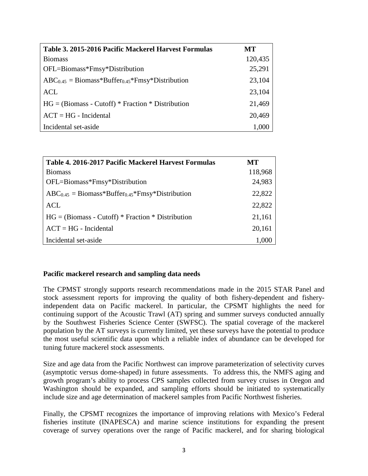| Table 3. 2015-2016 Pacific Mackerel Harvest Formulas           | MТ      |
|----------------------------------------------------------------|---------|
| <b>Biomass</b>                                                 | 120,435 |
| OFL=Biomass*Fmsy*Distribution                                  | 25,291  |
| $ABC_{0.45} = \text{Biomass*Buffer}_{0.45}$ *Fmsy*Distribution | 23,104  |
| <b>ACL</b>                                                     | 23,104  |
| $HG = (Biomass - Cutoff) * Fraction * Distribution$            | 21,469  |
| $ACT = HG - Incidental$                                        | 20,469  |
| Incidental set-aside                                           | 1,000   |

| Table 4. 2016-2017 Pacific Mackerel Harvest Formulas                       | <b>MT</b> |
|----------------------------------------------------------------------------|-----------|
| <b>Biomass</b>                                                             | 118,968   |
| OFL=Biomass*Fmsy*Distribution                                              | 24,983    |
| $ABC_{0.45} = \text{Biomass*Buffer}_{0.45}$ <sup>*</sup> Fmsy*Distribution | 22,822    |
| ACL                                                                        | 22,822    |
| $HG = (Biomass - Cutoff) * Fraction * Distribution$                        | 21,161    |
| $ACT = HG - Incidental$                                                    | 20,161    |
| Incidental set-aside                                                       | 1.000     |

## **Pacific mackerel research and sampling data needs**

The CPMST strongly supports research recommendations made in the 2015 STAR Panel and stock assessment reports for improving the quality of both fishery-dependent and fisheryindependent data on Pacific mackerel. In particular, the CPSMT highlights the need for continuing support of the Acoustic Trawl (AT) spring and summer surveys conducted annually by the Southwest Fisheries Science Center (SWFSC). The spatial coverage of the mackerel population by the AT surveys is currently limited, yet these surveys have the potential to produce the most useful scientific data upon which a reliable index of abundance can be developed for tuning future mackerel stock assessments.

Size and age data from the Pacific Northwest can improve parameterization of selectivity curves (asymptotic versus dome-shaped) in future assessments. To address this, the NMFS aging and growth program's ability to process CPS samples collected from survey cruises in Oregon and Washington should be expanded, and sampling efforts should be initiated to systematically include size and age determination of mackerel samples from Pacific Northwest fisheries.

Finally, the CPSMT recognizes the importance of improving relations with Mexico's Federal fisheries institute (INAPESCA) and marine science institutions for expanding the present coverage of survey operations over the range of Pacific mackerel, and for sharing biological